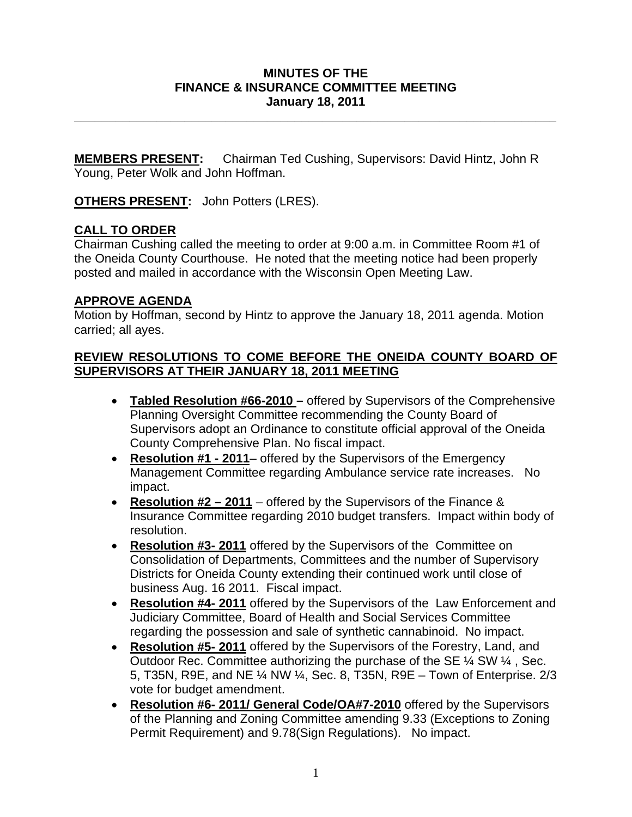### **MINUTES OF THE FINANCE & INSURANCE COMMITTEE MEETING January 18, 2011**

**\_\_\_\_\_\_\_\_\_\_\_\_\_\_\_\_\_\_\_\_\_\_\_\_\_\_\_\_\_\_\_\_\_\_\_\_\_\_\_\_\_\_\_\_\_\_\_\_\_\_\_\_\_\_\_\_\_\_\_\_\_\_\_\_\_\_\_\_\_\_** 

**MEMBERS PRESENT:** Chairman Ted Cushing, Supervisors: David Hintz, John R Young, Peter Wolk and John Hoffman.

**OTHERS PRESENT:** John Potters (LRES).

# **CALL TO ORDER**

Chairman Cushing called the meeting to order at 9:00 a.m. in Committee Room #1 of the Oneida County Courthouse. He noted that the meeting notice had been properly posted and mailed in accordance with the Wisconsin Open Meeting Law.

# **APPROVE AGENDA**

Motion by Hoffman, second by Hintz to approve the January 18, 2011 agenda. Motion carried; all ayes.

## **REVIEW RESOLUTIONS TO COME BEFORE THE ONEIDA COUNTY BOARD OF SUPERVISORS AT THEIR JANUARY 18, 2011 MEETING**

- **Tabled Resolution #66-2010** offered by Supervisors of the Comprehensive Planning Oversight Committee recommending the County Board of Supervisors adopt an Ordinance to constitute official approval of the Oneida County Comprehensive Plan. No fiscal impact.
- **Resolution #1 2011** offered by the Supervisors of the Emergency Management Committee regarding Ambulance service rate increases. No impact.
- **Resolution #2 2011** offered by the Supervisors of the Finance & Insurance Committee regarding 2010 budget transfers. Impact within body of resolution.
- **Resolution #3- 2011** offered by the Supervisors of the Committee on Consolidation of Departments, Committees and the number of Supervisory Districts for Oneida County extending their continued work until close of business Aug. 16 2011. Fiscal impact.
- **Resolution #4- 2011** offered by the Supervisors of the Law Enforcement and Judiciary Committee, Board of Health and Social Services Committee regarding the possession and sale of synthetic cannabinoid. No impact.
- **Resolution #5- 2011** offered by the Supervisors of the Forestry, Land, and Outdoor Rec. Committee authorizing the purchase of the SE ¼ SW ¼ , Sec. 5, T35N, R9E, and NE ¼ NW ¼, Sec. 8, T35N, R9E – Town of Enterprise. 2/3 vote for budget amendment.
- **Resolution #6- 2011/ General Code/OA#7-2010** offered by the Supervisors of the Planning and Zoning Committee amending 9.33 (Exceptions to Zoning Permit Requirement) and 9.78(Sign Regulations). No impact.